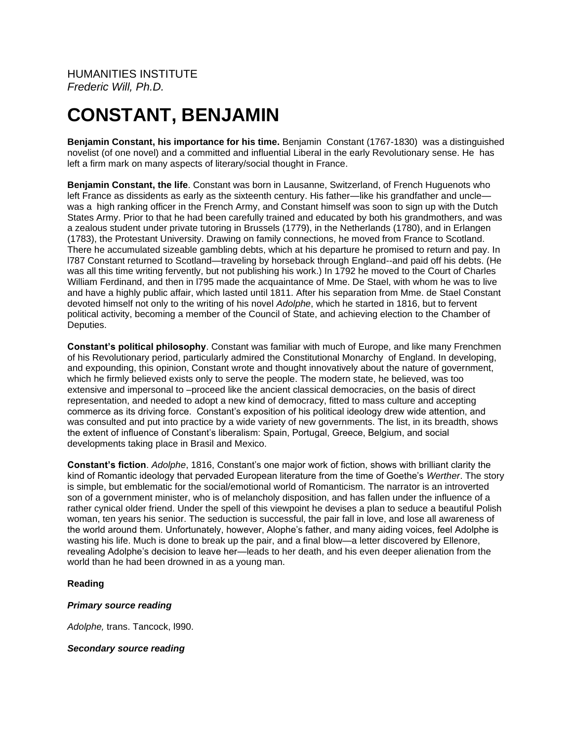# **CONSTANT, BENJAMIN**

**Benjamin Constant, his importance for his time.** Benjamin Constant (1767-1830) was a distinguished novelist (of one novel) and a committed and influential Liberal in the early Revolutionary sense. He has left a firm mark on many aspects of literary/social thought in France.

**Benjamin Constant, the life**. Constant was born in Lausanne, Switzerland, of French Huguenots who left France as dissidents as early as the sixteenth century. His father—like his grandfather and uncle was a high ranking officer in the French Army, and Constant himself was soon to sign up with the Dutch States Army. Prior to that he had been carefully trained and educated by both his grandmothers, and was a zealous student under private tutoring in Brussels (1779), in the Netherlands (1780), and in Erlangen (1783), the Protestant University. Drawing on family connections, he moved from France to Scotland. There he accumulated sizeable gambling debts, which at his departure he promised to return and pay. In l787 Constant returned to Scotland—traveling by horseback through England--and paid off his debts. (He was all this time writing fervently, but not publishing his work.) In 1792 he moved to the Court of Charles William Ferdinand, and then in l795 made the acquaintance of Mme. De Stael, with whom he was to live and have a highly public affair, which lasted until 1811. After his separation from Mme. de Stael Constant devoted himself not only to the writing of his novel *Adolphe*, which he started in 1816, but to fervent political activity, becoming a member of the Council of State, and achieving election to the Chamber of Deputies.

**Constant's political philosophy**. Constant was familiar with much of Europe, and like many Frenchmen of his Revolutionary period, particularly admired the Constitutional Monarchy of England. In developing, and expounding, this opinion, Constant wrote and thought innovatively about the nature of government, which he firmly believed exists only to serve the people. The modern state, he believed, was too extensive and impersonal to –proceed like the ancient classical democracies, on the basis of direct representation, and needed to adopt a new kind of democracy, fitted to mass culture and accepting commerce as its driving force. Constant's exposition of his political ideology drew wide attention, and was consulted and put into practice by a wide variety of new governments. The list, in its breadth, shows the extent of influence of Constant's liberalism: Spain, Portugal, Greece, Belgium, and social developments taking place in Brasil and Mexico.

**Constant's fiction**. *Adolphe*, 1816, Constant's one major work of fiction, shows with brilliant clarity the kind of Romantic ideology that pervaded European literature from the time of Goethe's *Werther*. The story is simple, but emblematic for the social/emotional world of Romanticism. The narrator is an introverted son of a government minister, who is of melancholy disposition, and has fallen under the influence of a rather cynical older friend. Under the spell of this viewpoint he devises a plan to seduce a beautiful Polish woman, ten years his senior. The seduction is successful, the pair fall in love, and lose all awareness of the world around them. Unfortunately, however, Alophe's father, and many aiding voices, feel Adolphe is wasting his life. Much is done to break up the pair, and a final blow—a letter discovered by Ellenore, revealing Adolphe's decision to leave her—leads to her death, and his even deeper alienation from the world than he had been drowned in as a young man.

## **Reading**

## *Primary source reading*

*Adolphe,* trans. Tancock, l990.

*Secondary source reading*